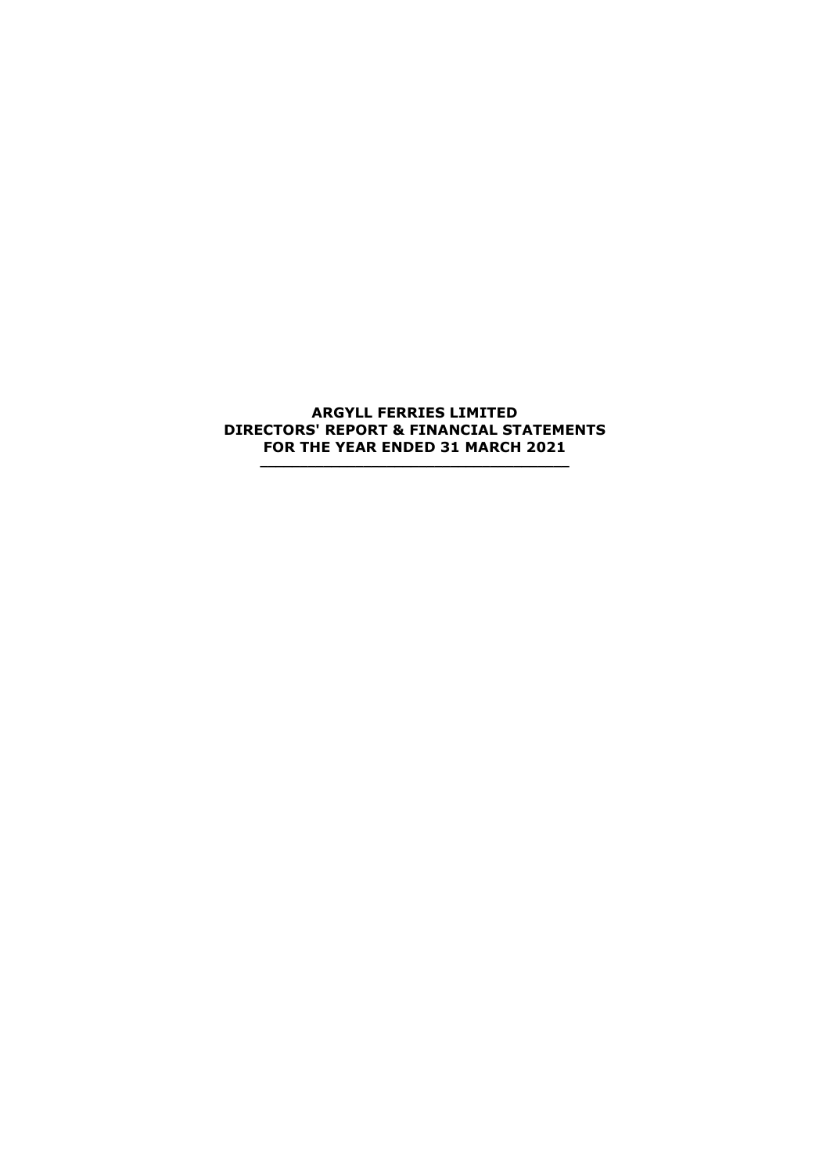## **ARGYLL FERRIES LIMITED DIRECTORS' REPORT & FINANCIAL STATEMENTS FOR THE YEAR ENDED 31 MARCH 2021**

**\_\_\_\_\_\_\_\_\_\_\_\_\_\_\_\_\_\_\_\_\_\_\_\_\_\_\_\_\_\_\_\_\_\_\_\_\_\_\_**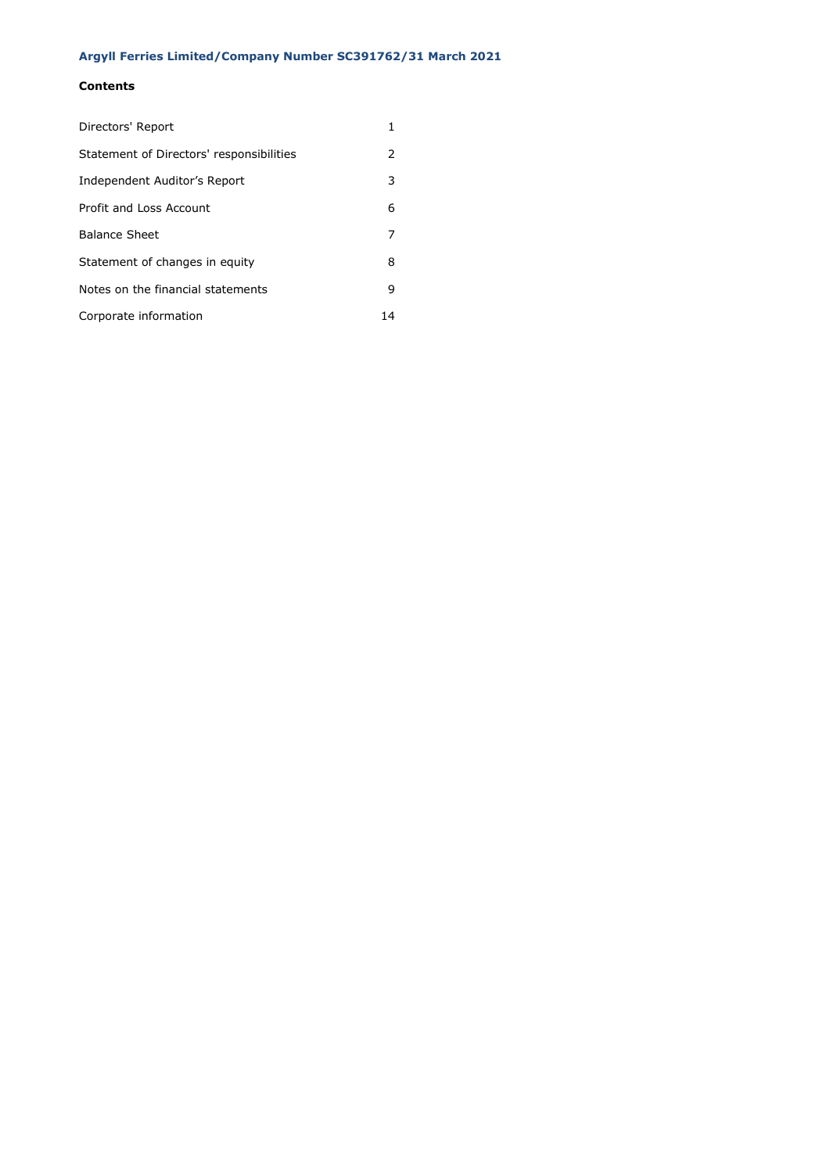# **Contents**

| Directors' Report                        |    |
|------------------------------------------|----|
| Statement of Directors' responsibilities | 2  |
| Independent Auditor's Report             | 3  |
| Profit and Loss Account                  | 6  |
| <b>Balance Sheet</b>                     | 7  |
| Statement of changes in equity           | 8  |
| Notes on the financial statements        | 9  |
| Corporate information                    | 14 |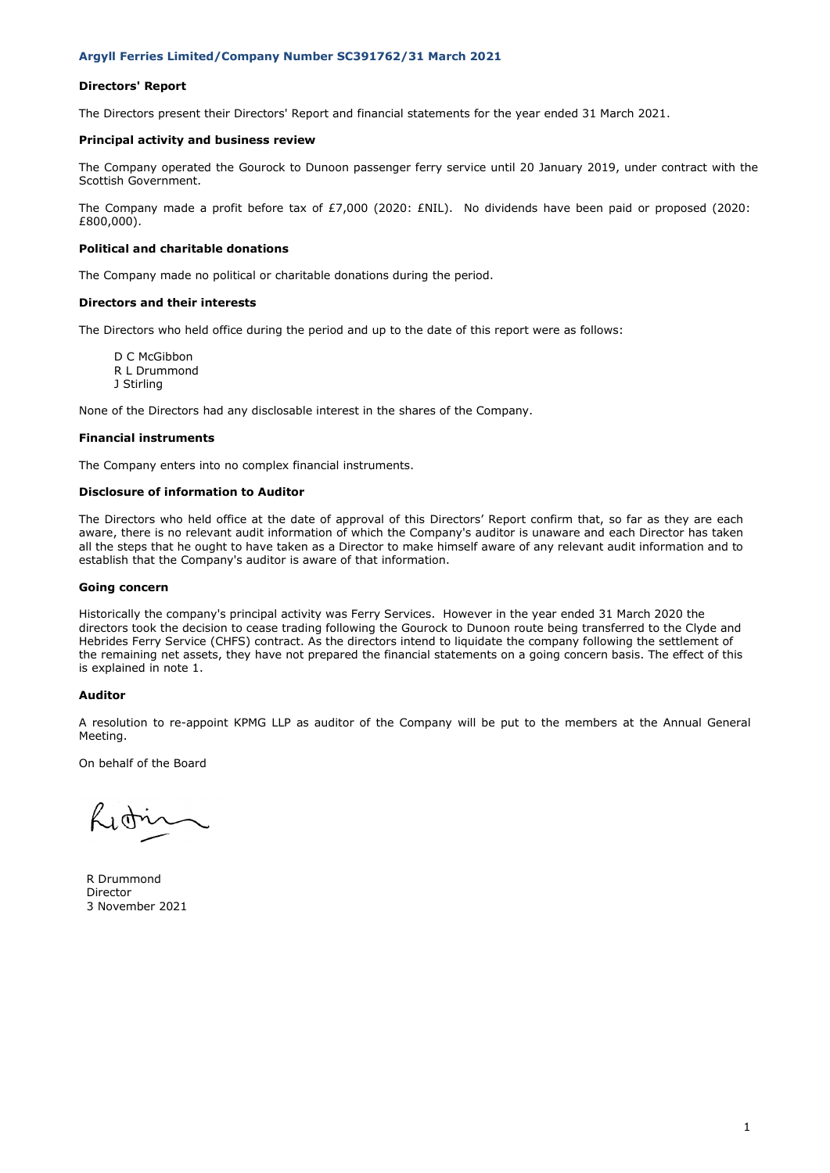### **Directors' Report**

The Directors present their Directors' Report and financial statements for the year ended 31 March 2021.

#### **Principal activity and business review**

The Company operated the Gourock to Dunoon passenger ferry service until 20 January 2019, under contract with the Scottish Government.

The Company made a profit before tax of £7,000 (2020: £NIL). No dividends have been paid or proposed (2020: £800,000).

#### **Political and charitable donations**

The Company made no political or charitable donations during the period.

#### **Directors and their interests**

The Directors who held office during the period and up to the date of this report were as follows:

D C McGibbon R L Drummond J Stirling

None of the Directors had any disclosable interest in the shares of the Company.

### **Financial instruments**

The Company enters into no complex financial instruments.

#### **Disclosure of information to Auditor**

The Directors who held office at the date of approval of this Directors' Report confirm that, so far as they are each aware, there is no relevant audit information of which the Company's auditor is unaware and each Director has taken all the steps that he ought to have taken as a Director to make himself aware of any relevant audit information and to establish that the Company's auditor is aware of that information.

### **Going concern**

Historically the company's principal activity was Ferry Services. However in the year ended 31 March 2020 the directors took the decision to cease trading following the Gourock to Dunoon route being transferred to the Clyde and Hebrides Ferry Service (CHFS) contract. As the directors intend to liquidate the company following the settlement of the remaining net assets, they have not prepared the financial statements on a going concern basis. The effect of this is explained in note 1.

#### **Auditor**

A resolution to re-appoint KPMG LLP as auditor of the Company will be put to the members at the Annual General Meeting.

On behalf of the Board

Litrin

R Drummond Director 3 November 2021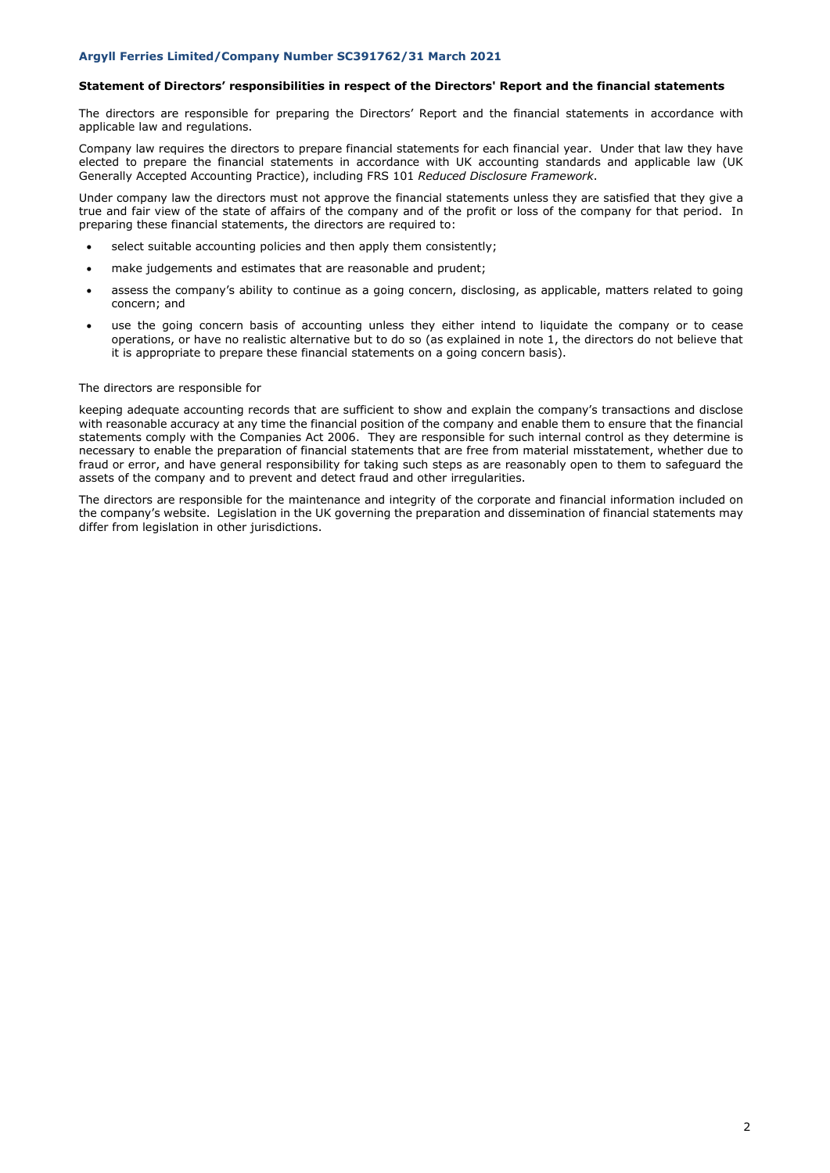### **Statement of Directors' responsibilities in respect of the Directors' Report and the financial statements**

The directors are responsible for preparing the Directors' Report and the financial statements in accordance with applicable law and regulations.

Company law requires the directors to prepare financial statements for each financial year. Under that law they have elected to prepare the financial statements in accordance with UK accounting standards and applicable law (UK Generally Accepted Accounting Practice), including FRS 101 *Reduced Disclosure Framework*.

Under company law the directors must not approve the financial statements unless they are satisfied that they give a true and fair view of the state of affairs of the company and of the profit or loss of the company for that period. In preparing these financial statements, the directors are required to:

- select suitable accounting policies and then apply them consistently;
- make judgements and estimates that are reasonable and prudent;
- assess the company's ability to continue as a going concern, disclosing, as applicable, matters related to going concern; and
- use the going concern basis of accounting unless they either intend to liquidate the company or to cease operations, or have no realistic alternative but to do so (as explained in note 1, the directors do not believe that it is appropriate to prepare these financial statements on a going concern basis).

### The directors are responsible for

keeping adequate accounting records that are sufficient to show and explain the company's transactions and disclose with reasonable accuracy at any time the financial position of the company and enable them to ensure that the financial statements comply with the Companies Act 2006. They are responsible for such internal control as they determine is necessary to enable the preparation of financial statements that are free from material misstatement, whether due to fraud or error, and have general responsibility for taking such steps as are reasonably open to them to safeguard the assets of the company and to prevent and detect fraud and other irregularities.

The directors are responsible for the maintenance and integrity of the corporate and financial information included on the company's website. Legislation in the UK governing the preparation and dissemination of financial statements may differ from legislation in other jurisdictions.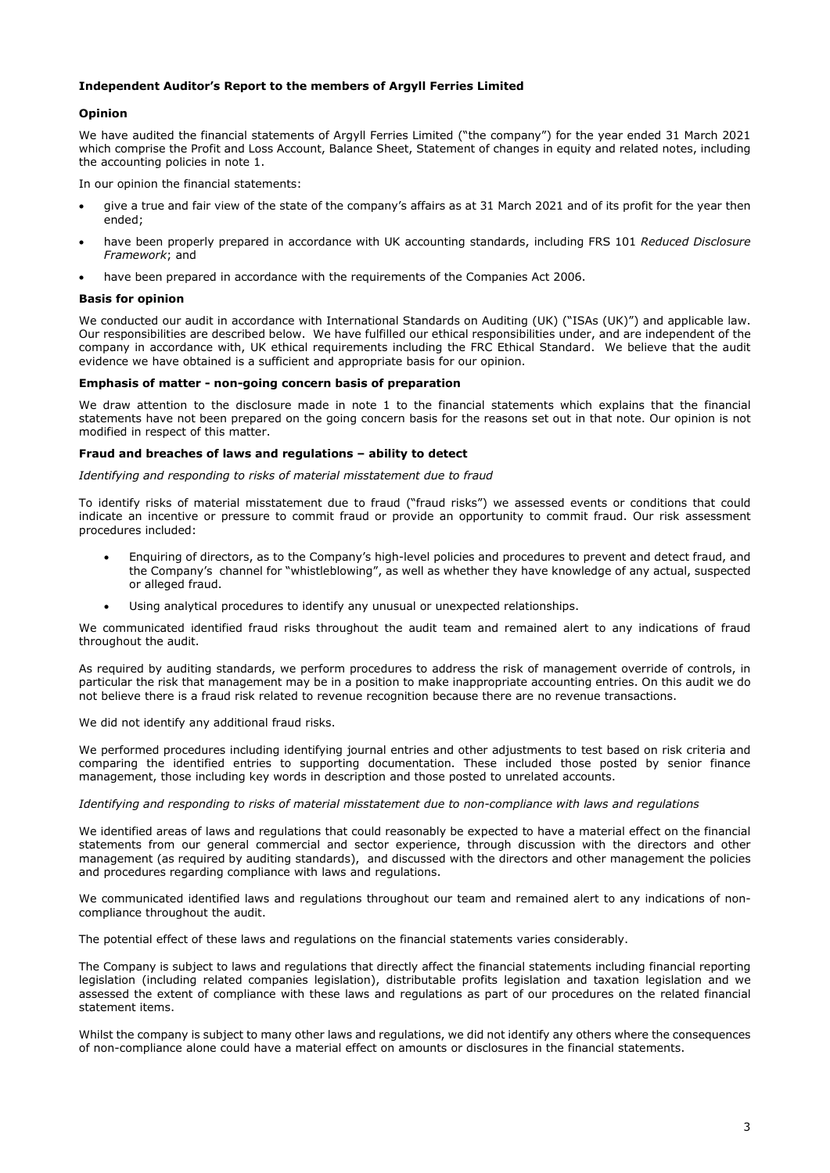### **Independent Auditor's Report to the members of Argyll Ferries Limited**

### **Opinion**

We have audited the financial statements of Argyll Ferries Limited ("the company") for the year ended 31 March 2021 which comprise the Profit and Loss Account, Balance Sheet, Statement of changes in equity and related notes, including the accounting policies in note 1.

In our opinion the financial statements:

- give a true and fair view of the state of the company's affairs as at 31 March 2021 and of its profit for the year then ended;
- have been properly prepared in accordance with UK accounting standards, including FRS 101 *Reduced Disclosure Framework*; and
- have been prepared in accordance with the requirements of the Companies Act 2006.

### **Basis for opinion**

We conducted our audit in accordance with International Standards on Auditing (UK) ("ISAs (UK)") and applicable law. Our responsibilities are described below. We have fulfilled our ethical responsibilities under, and are independent of the company in accordance with, UK ethical requirements including the FRC Ethical Standard. We believe that the audit evidence we have obtained is a sufficient and appropriate basis for our opinion.

### **Emphasis of matter - non-going concern basis of preparation**

We draw attention to the disclosure made in note 1 to the financial statements which explains that the financial statements have not been prepared on the going concern basis for the reasons set out in that note. Our opinion is not modified in respect of this matter.

### **Fraud and breaches of laws and regulations – ability to detect**

*Identifying and responding to risks of material misstatement due to fraud*

To identify risks of material misstatement due to fraud ("fraud risks") we assessed events or conditions that could indicate an incentive or pressure to commit fraud or provide an opportunity to commit fraud. Our risk assessment procedures included:

- Enquiring of directors, as to the Company's high-level policies and procedures to prevent and detect fraud, and the Company's channel for "whistleblowing", as well as whether they have knowledge of any actual, suspected or alleged fraud.
- Using analytical procedures to identify any unusual or unexpected relationships.

We communicated identified fraud risks throughout the audit team and remained alert to any indications of fraud throughout the audit.

As required by auditing standards, we perform procedures to address the risk of management override of controls, in particular the risk that management may be in a position to make inappropriate accounting entries. On this audit we do not believe there is a fraud risk related to revenue recognition because there are no revenue transactions.

We did not identify any additional fraud risks.

We performed procedures including identifying journal entries and other adjustments to test based on risk criteria and comparing the identified entries to supporting documentation. These included those posted by senior finance management, those including key words in description and those posted to unrelated accounts.

#### *Identifying and responding to risks of material misstatement due to non-compliance with laws and regulations*

We identified areas of laws and regulations that could reasonably be expected to have a material effect on the financial statements from our general commercial and sector experience, through discussion with the directors and other management (as required by auditing standards), and discussed with the directors and other management the policies and procedures regarding compliance with laws and regulations.

We communicated identified laws and regulations throughout our team and remained alert to any indications of noncompliance throughout the audit.

The potential effect of these laws and regulations on the financial statements varies considerably.

The Company is subject to laws and regulations that directly affect the financial statements including financial reporting legislation (including related companies legislation), distributable profits legislation and taxation legislation and we assessed the extent of compliance with these laws and regulations as part of our procedures on the related financial statement items.

Whilst the company is subject to many other laws and regulations, we did not identify any others where the consequences of non-compliance alone could have a material effect on amounts or disclosures in the financial statements.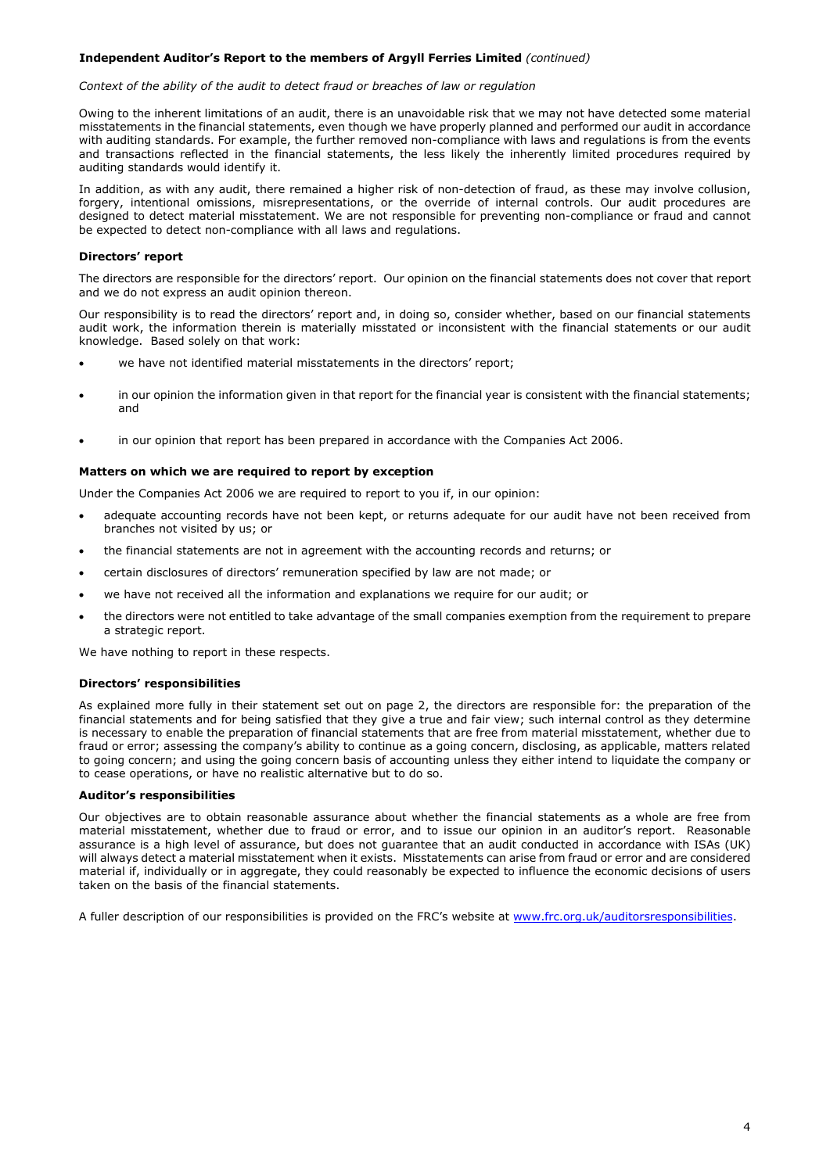### **Independent Auditor's Report to the members of Argyll Ferries Limited** *(continued)*

#### *Context of the ability of the audit to detect fraud or breaches of law or regulation*

Owing to the inherent limitations of an audit, there is an unavoidable risk that we may not have detected some material misstatements in the financial statements, even though we have properly planned and performed our audit in accordance with auditing standards. For example, the further removed non-compliance with laws and regulations is from the events and transactions reflected in the financial statements, the less likely the inherently limited procedures required by auditing standards would identify it.

In addition, as with any audit, there remained a higher risk of non-detection of fraud, as these may involve collusion, forgery, intentional omissions, misrepresentations, or the override of internal controls. Our audit procedures are designed to detect material misstatement. We are not responsible for preventing non-compliance or fraud and cannot be expected to detect non-compliance with all laws and regulations.

#### **Directors' report**

The directors are responsible for the directors' report. Our opinion on the financial statements does not cover that report and we do not express an audit opinion thereon.

Our responsibility is to read the directors' report and, in doing so, consider whether, based on our financial statements audit work, the information therein is materially misstated or inconsistent with the financial statements or our audit knowledge. Based solely on that work:

- we have not identified material misstatements in the directors' report;
- in our opinion the information given in that report for the financial year is consistent with the financial statements; and
- in our opinion that report has been prepared in accordance with the Companies Act 2006.

#### **Matters on which we are required to report by exception**

Under the Companies Act 2006 we are required to report to you if, in our opinion:

- adequate accounting records have not been kept, or returns adequate for our audit have not been received from branches not visited by us; or
- the financial statements are not in agreement with the accounting records and returns; or
- certain disclosures of directors' remuneration specified by law are not made; or
- we have not received all the information and explanations we require for our audit; or
- the directors were not entitled to take advantage of the small companies exemption from the requirement to prepare a strategic report.

We have nothing to report in these respects.

#### **Directors' responsibilities**

As explained more fully in their statement set out on page 2, the directors are responsible for: the preparation of the financial statements and for being satisfied that they give a true and fair view; such internal control as they determine is necessary to enable the preparation of financial statements that are free from material misstatement, whether due to fraud or error; assessing the company's ability to continue as a going concern, disclosing, as applicable, matters related to going concern; and using the going concern basis of accounting unless they either intend to liquidate the company or to cease operations, or have no realistic alternative but to do so.

### **Auditor's responsibilities**

Our objectives are to obtain reasonable assurance about whether the financial statements as a whole are free from material misstatement, whether due to fraud or error, and to issue our opinion in an auditor's report. Reasonable assurance is a high level of assurance, but does not guarantee that an audit conducted in accordance with ISAs (UK) will always detect a material misstatement when it exists. Misstatements can arise from fraud or error and are considered material if, individually or in aggregate, they could reasonably be expected to influence the economic decisions of users taken on the basis of the financial statements.

A fuller description of our responsibilities is provided on the FRC's website at [www.frc.org.uk/auditorsresponsibilities.](http://www.frc.org.uk/auditorsresponsibilities)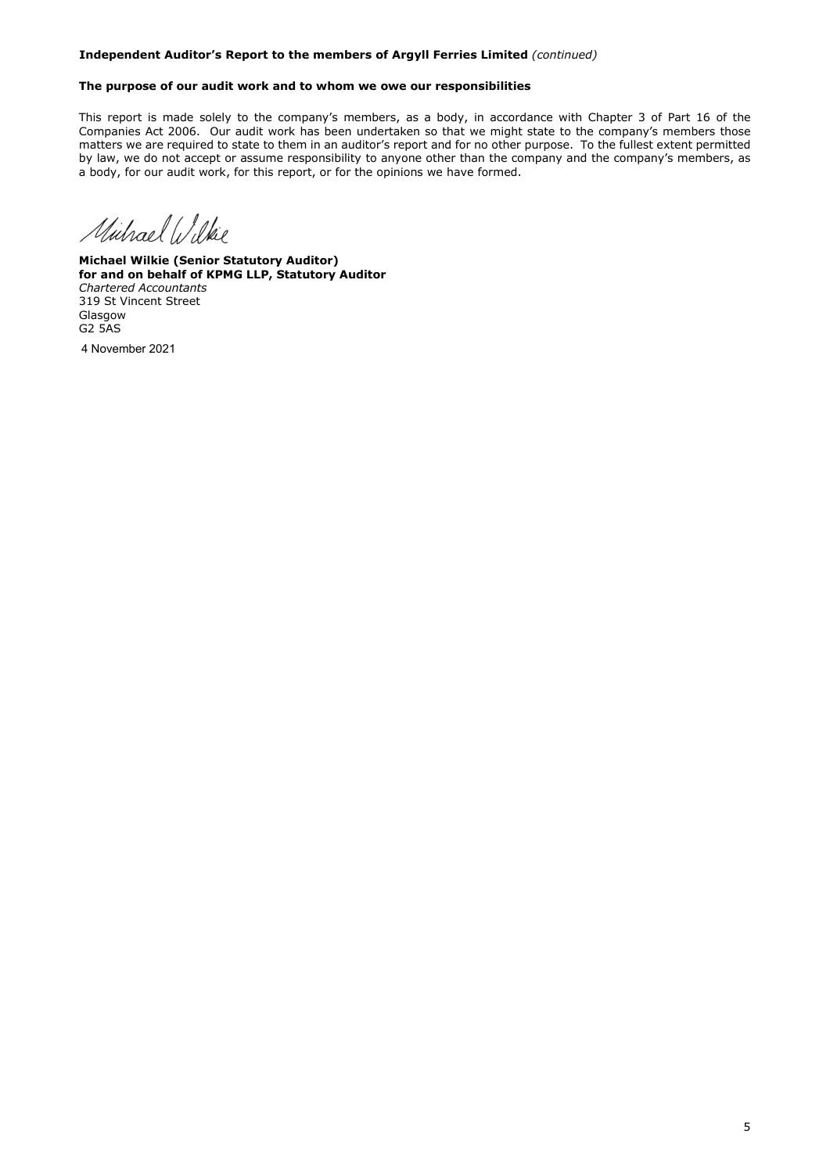### **Independent Auditor's Report to the members of Argyll Ferries Limited** *(continued)*

### **The purpose of our audit work and to whom we owe our responsibilities**

This report is made solely to the company's members, as a body, in accordance with Chapter 3 of Part 16 of the Companies Act 2006. Our audit work has been undertaken so that we might state to the company's members those matters we are required to state to them in an auditor's report and for no other purpose. To the fullest extent permitted by law, we do not accept or assume responsibility to anyone other than the company and the company's members, as a body, for our audit work, for this report, or for the opinions we have formed.

Michael Wilkie

**Michael Wilkie (Senior Statutory Auditor) for and on behalf of KPMG LLP, Statutory Auditor**  *Chartered Accountants*  319 St Vincent Street Glasgow G2 5AS

4 November 2021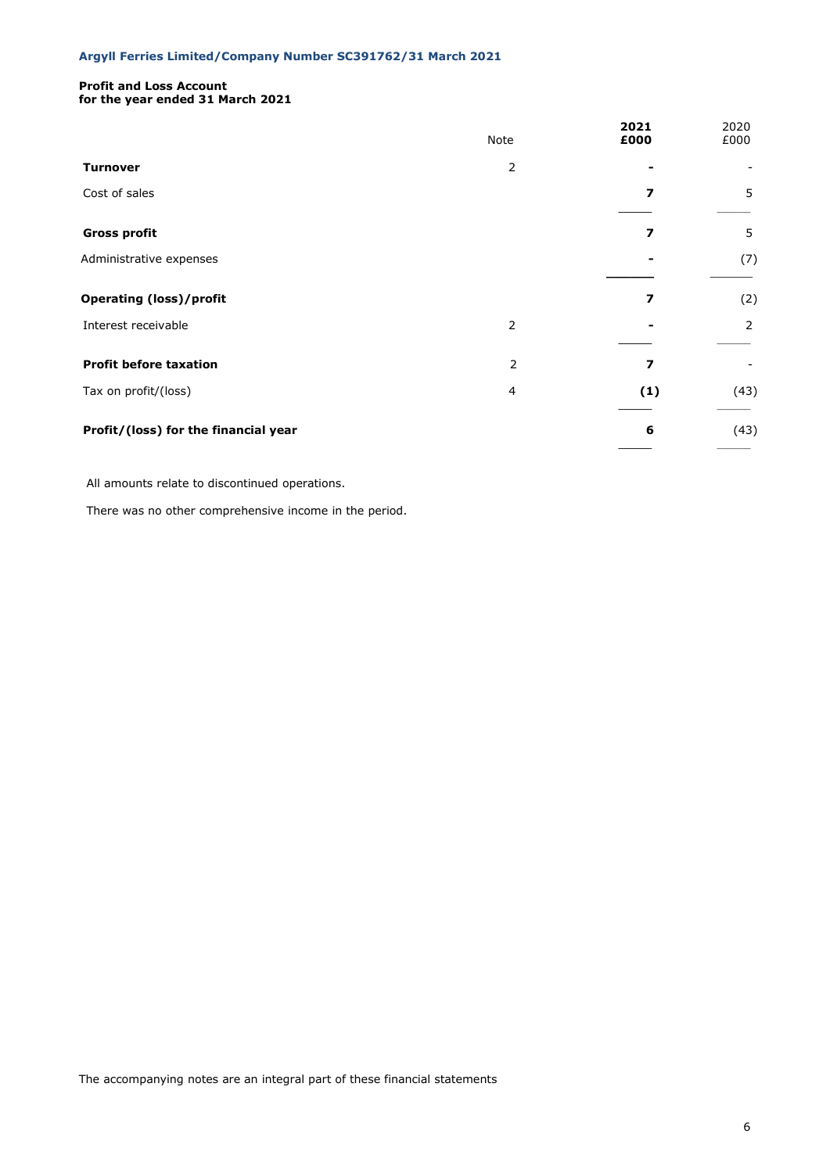### **Profit and Loss Account for the year ended 31 March 2021**

|                                      | Note | 2021<br>£000 | 2020<br>£000 |
|--------------------------------------|------|--------------|--------------|
| <b>Turnover</b>                      | 2    |              |              |
| Cost of sales                        |      | 7            | 5            |
| <b>Gross profit</b>                  |      | 7            | 5            |
| Administrative expenses              |      |              | (7)          |
| <b>Operating (loss)/profit</b>       |      | 7            | (2)          |
| Interest receivable                  | 2    |              | 2            |
| <b>Profit before taxation</b>        | 2    | 7            |              |
| Tax on profit/(loss)                 | 4    | (1)          | (43)         |
| Profit/(loss) for the financial year |      | 6            | (43)         |

All amounts relate to discontinued operations.

There was no other comprehensive income in the period.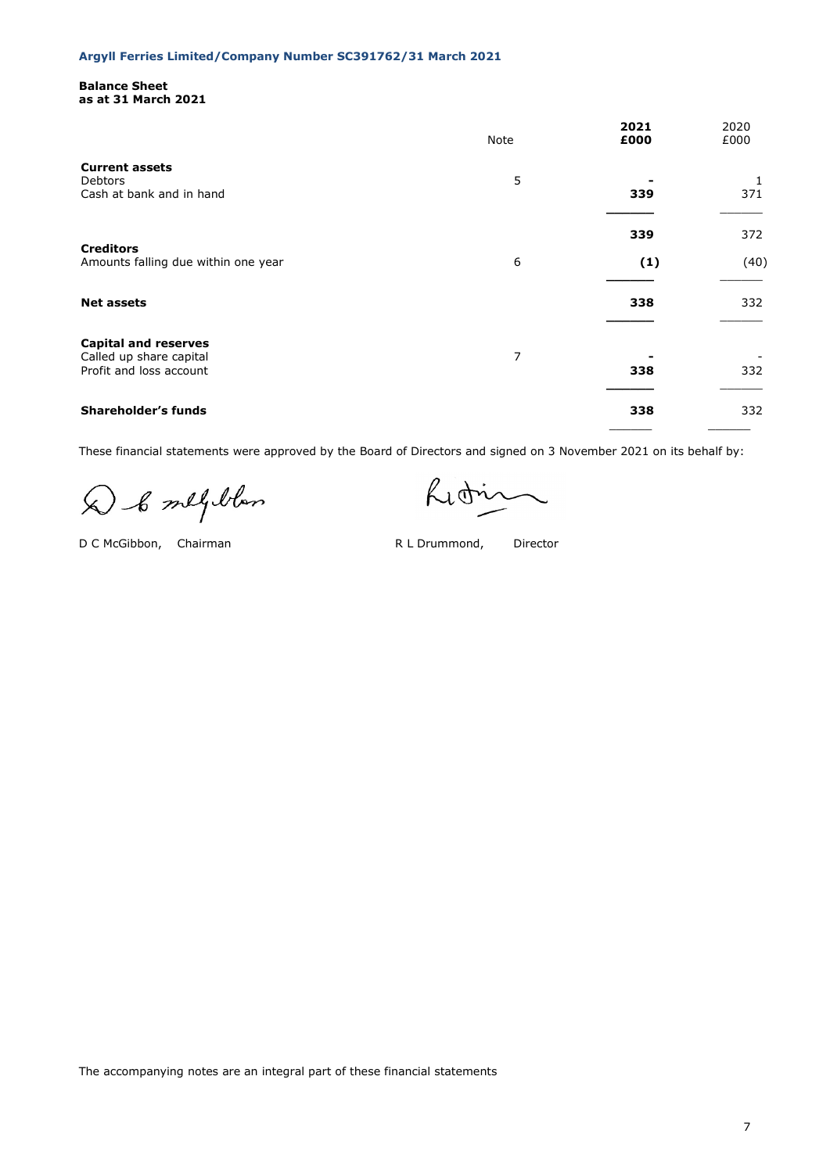### **Balance Sheet as at 31 March 2021**

|                                                                                   | Note | 2021<br>£000 | 2020<br>£000 |
|-----------------------------------------------------------------------------------|------|--------------|--------------|
| <b>Current assets</b><br><b>Debtors</b><br>Cash at bank and in hand               | 5    | 339          | 1<br>371     |
| <b>Creditors</b><br>Amounts falling due within one year                           | 6    | 339<br>(1)   | 372<br>(40)  |
| <b>Net assets</b>                                                                 |      | 338          | 332          |
| <b>Capital and reserves</b><br>Called up share capital<br>Profit and loss account | 7    | 338          | 332          |
| <b>Shareholder's funds</b>                                                        |      | 338          | 332          |

These financial statements were approved by the Board of Directors and signed on 3 November 2021 on its behalf by:

D & melploton

D C McGibbon, Chairman R L Drummond, Director

Lidin

The accompanying notes are an integral part of these financial statements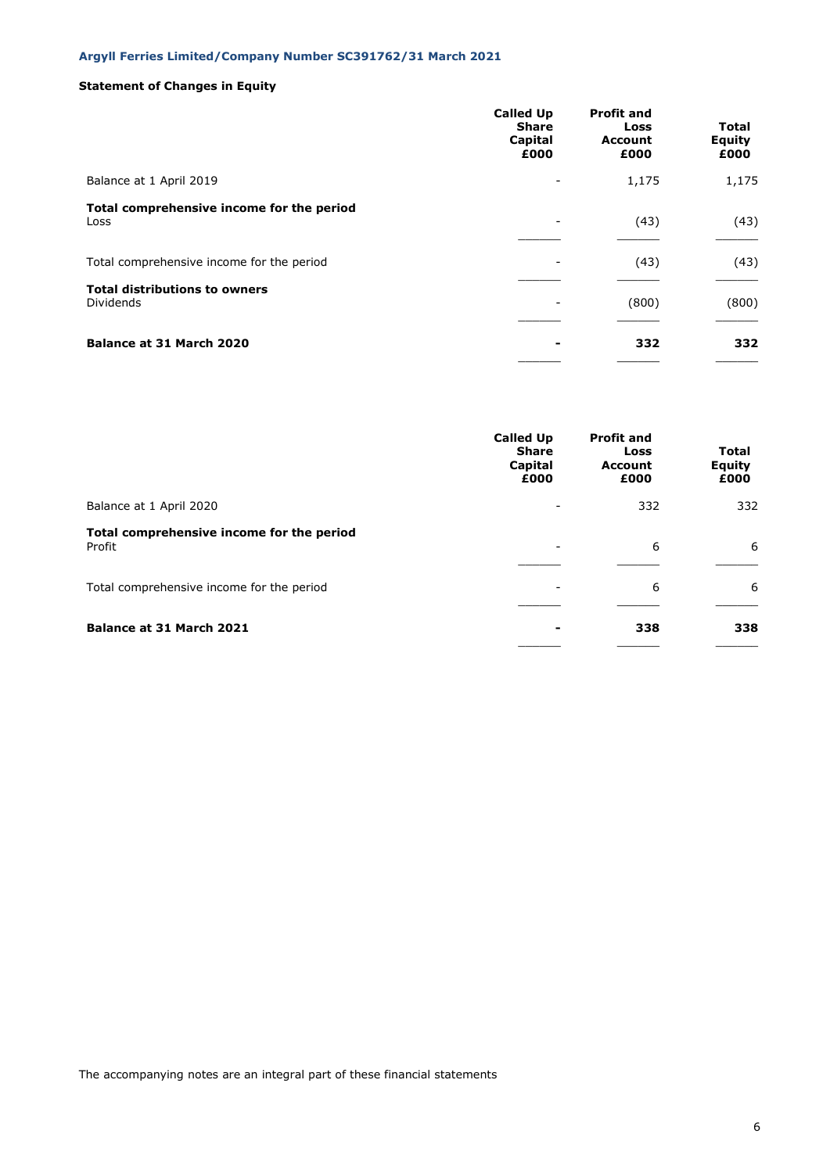## **Statement of Changes in Equity**

|                                                          | <b>Called Up</b><br><b>Share</b><br>Capital<br>£000 | <b>Profit and</b><br>Loss<br><b>Account</b><br>£000 | Total<br>Equity<br>£000 |
|----------------------------------------------------------|-----------------------------------------------------|-----------------------------------------------------|-------------------------|
| Balance at 1 April 2019                                  | -                                                   | 1,175                                               | 1,175                   |
| Total comprehensive income for the period<br>Loss        | ۰                                                   | (43)                                                | (43)                    |
| Total comprehensive income for the period                |                                                     | (43)                                                | (43)                    |
| <b>Total distributions to owners</b><br><b>Dividends</b> |                                                     | (800)                                               | (800)                   |
| Balance at 31 March 2020                                 |                                                     | 332                                                 | 332                     |

|                                                     | <b>Called Up</b><br><b>Share</b><br>Capital<br>£000 | <b>Profit and</b><br>Loss<br><b>Account</b><br>£000 | <b>Total</b><br>Equity<br>£000 |
|-----------------------------------------------------|-----------------------------------------------------|-----------------------------------------------------|--------------------------------|
| Balance at 1 April 2020                             |                                                     | 332                                                 | 332                            |
| Total comprehensive income for the period<br>Profit | $\overline{\phantom{m}}$                            | 6                                                   | 6                              |
| Total comprehensive income for the period           | ۰                                                   | 6                                                   | 6                              |
| <b>Balance at 31 March 2021</b>                     | -                                                   | 338                                                 | 338                            |

The accompanying notes are an integral part of these financial statements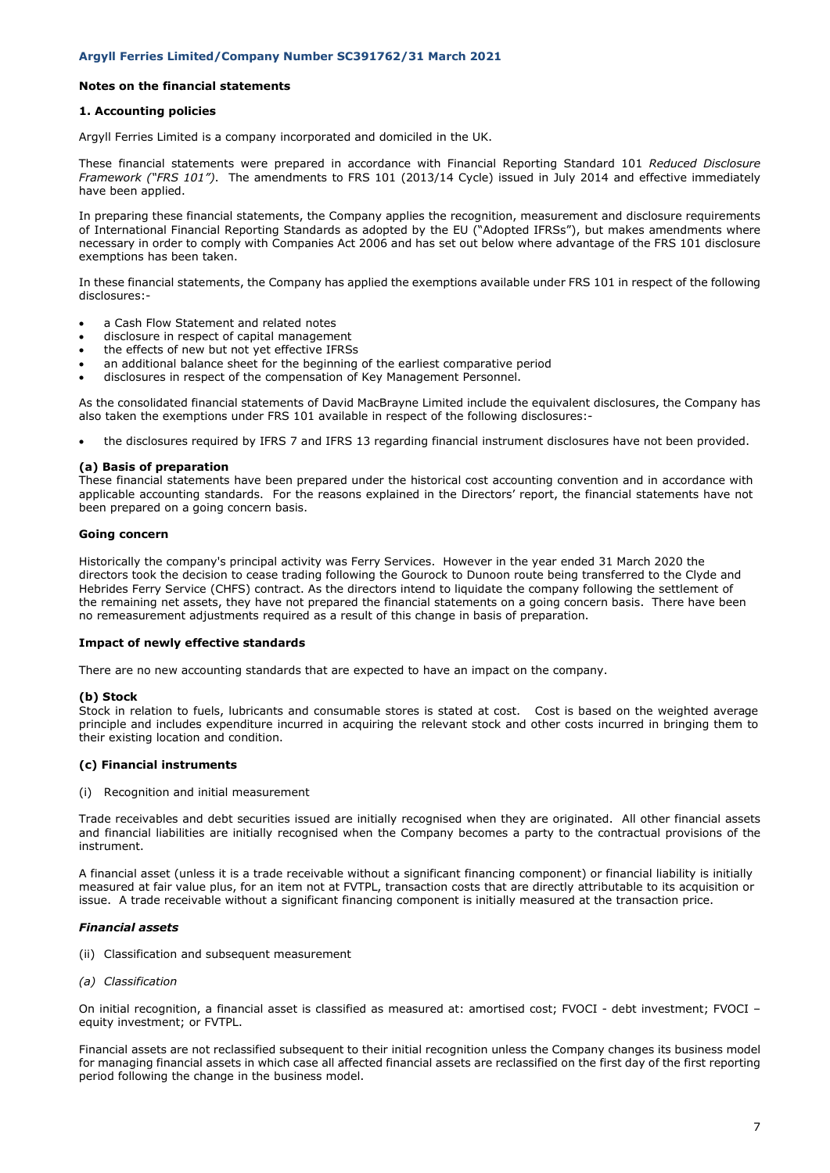### **Notes on the financial statements**

### **1. Accounting policies**

Argyll Ferries Limited is a company incorporated and domiciled in the UK.

These financial statements were prepared in accordance with Financial Reporting Standard 101 *Reduced Disclosure Framework ("FRS 101")*. The amendments to FRS 101 (2013/14 Cycle) issued in July 2014 and effective immediately have been applied.

In preparing these financial statements, the Company applies the recognition, measurement and disclosure requirements of International Financial Reporting Standards as adopted by the EU ("Adopted IFRSs"), but makes amendments where necessary in order to comply with Companies Act 2006 and has set out below where advantage of the FRS 101 disclosure exemptions has been taken.

In these financial statements, the Company has applied the exemptions available under FRS 101 in respect of the following disclosures:-

- a Cash Flow Statement and related notes
- disclosure in respect of capital management
- the effects of new but not yet effective IFRSs
- an additional balance sheet for the beginning of the earliest comparative period
- disclosures in respect of the compensation of Key Management Personnel.

As the consolidated financial statements of David MacBrayne Limited include the equivalent disclosures, the Company has also taken the exemptions under FRS 101 available in respect of the following disclosures:-

• the disclosures required by IFRS 7 and IFRS 13 regarding financial instrument disclosures have not been provided.

#### **(a) Basis of preparation**

These financial statements have been prepared under the historical cost accounting convention and in accordance with applicable accounting standards. For the reasons explained in the Directors' report, the financial statements have not been prepared on a going concern basis.

#### **Going concern**

Historically the company's principal activity was Ferry Services. However in the year ended 31 March 2020 the directors took the decision to cease trading following the Gourock to Dunoon route being transferred to the Clyde and Hebrides Ferry Service (CHFS) contract. As the directors intend to liquidate the company following the settlement of the remaining net assets, they have not prepared the financial statements on a going concern basis. There have been no remeasurement adjustments required as a result of this change in basis of preparation.

#### **Impact of newly effective standards**

There are no new accounting standards that are expected to have an impact on the company.

### **(b) Stock**

Stock in relation to fuels, lubricants and consumable stores is stated at cost. Cost is based on the weighted average principle and includes expenditure incurred in acquiring the relevant stock and other costs incurred in bringing them to their existing location and condition.

#### **(c) Financial instruments**

(i) Recognition and initial measurement

Trade receivables and debt securities issued are initially recognised when they are originated. All other financial assets and financial liabilities are initially recognised when the Company becomes a party to the contractual provisions of the instrument.

A financial asset (unless it is a trade receivable without a significant financing component) or financial liability is initially measured at fair value plus, for an item not at FVTPL, transaction costs that are directly attributable to its acquisition or issue. A trade receivable without a significant financing component is initially measured at the transaction price.

#### *Financial assets*

- (ii) Classification and subsequent measurement
- *(a) Classification*

On initial recognition, a financial asset is classified as measured at: amortised cost; FVOCI - debt investment; FVOCI – equity investment; or FVTPL.

Financial assets are not reclassified subsequent to their initial recognition unless the Company changes its business model for managing financial assets in which case all affected financial assets are reclassified on the first day of the first reporting period following the change in the business model.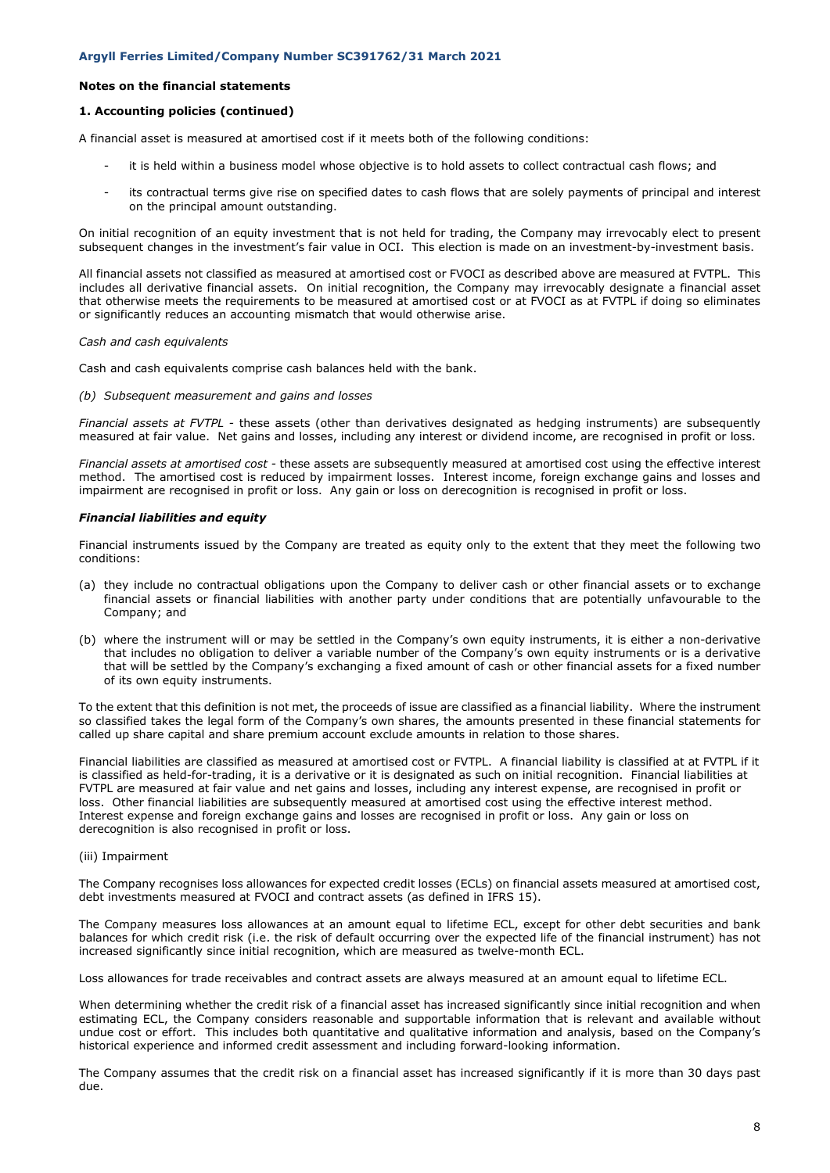### **Notes on the financial statements**

### **1. Accounting policies (continued)**

A financial asset is measured at amortised cost if it meets both of the following conditions:

- it is held within a business model whose objective is to hold assets to collect contractual cash flows; and
- its contractual terms give rise on specified dates to cash flows that are solely payments of principal and interest on the principal amount outstanding.

On initial recognition of an equity investment that is not held for trading, the Company may irrevocably elect to present subsequent changes in the investment's fair value in OCI. This election is made on an investment-by-investment basis.

All financial assets not classified as measured at amortised cost or FVOCI as described above are measured at FVTPL. This includes all derivative financial assets. On initial recognition, the Company may irrevocably designate a financial asset that otherwise meets the requirements to be measured at amortised cost or at FVOCI as at FVTPL if doing so eliminates or significantly reduces an accounting mismatch that would otherwise arise.

#### *Cash and cash equivalents*

Cash and cash equivalents comprise cash balances held with the bank.

*(b) Subsequent measurement and gains and losses*

*Financial assets at FVTPL -* these assets (other than derivatives designated as hedging instruments) are subsequently measured at fair value. Net gains and losses, including any interest or dividend income, are recognised in profit or loss.

*Financial assets at amortised cost -* these assets are subsequently measured at amortised cost using the effective interest method. The amortised cost is reduced by impairment losses. Interest income, foreign exchange gains and losses and impairment are recognised in profit or loss. Any gain or loss on derecognition is recognised in profit or loss.

#### *Financial liabilities and equity*

Financial instruments issued by the Company are treated as equity only to the extent that they meet the following two conditions:

- (a) they include no contractual obligations upon the Company to deliver cash or other financial assets or to exchange financial assets or financial liabilities with another party under conditions that are potentially unfavourable to the Company; and
- (b) where the instrument will or may be settled in the Company's own equity instruments, it is either a non-derivative that includes no obligation to deliver a variable number of the Company's own equity instruments or is a derivative that will be settled by the Company's exchanging a fixed amount of cash or other financial assets for a fixed number of its own equity instruments.

To the extent that this definition is not met, the proceeds of issue are classified as a financial liability. Where the instrument so classified takes the legal form of the Company's own shares, the amounts presented in these financial statements for called up share capital and share premium account exclude amounts in relation to those shares.

Financial liabilities are classified as measured at amortised cost or FVTPL. A financial liability is classified at at FVTPL if it is classified as held-for-trading, it is a derivative or it is designated as such on initial recognition. Financial liabilities at FVTPL are measured at fair value and net gains and losses, including any interest expense, are recognised in profit or loss. Other financial liabilities are subsequently measured at amortised cost using the effective interest method. Interest expense and foreign exchange gains and losses are recognised in profit or loss. Any gain or loss on derecognition is also recognised in profit or loss.

#### (iii) Impairment

The Company recognises loss allowances for expected credit losses (ECLs) on financial assets measured at amortised cost, debt investments measured at FVOCI and contract assets (as defined in IFRS 15).

The Company measures loss allowances at an amount equal to lifetime ECL, except for other debt securities and bank balances for which credit risk (i.e. the risk of default occurring over the expected life of the financial instrument) has not increased significantly since initial recognition, which are measured as twelve-month ECL.

Loss allowances for trade receivables and contract assets are always measured at an amount equal to lifetime ECL.

When determining whether the credit risk of a financial asset has increased significantly since initial recognition and when estimating ECL, the Company considers reasonable and supportable information that is relevant and available without undue cost or effort. This includes both quantitative and qualitative information and analysis, based on the Company's historical experience and informed credit assessment and including forward-looking information.

The Company assumes that the credit risk on a financial asset has increased significantly if it is more than 30 days past due.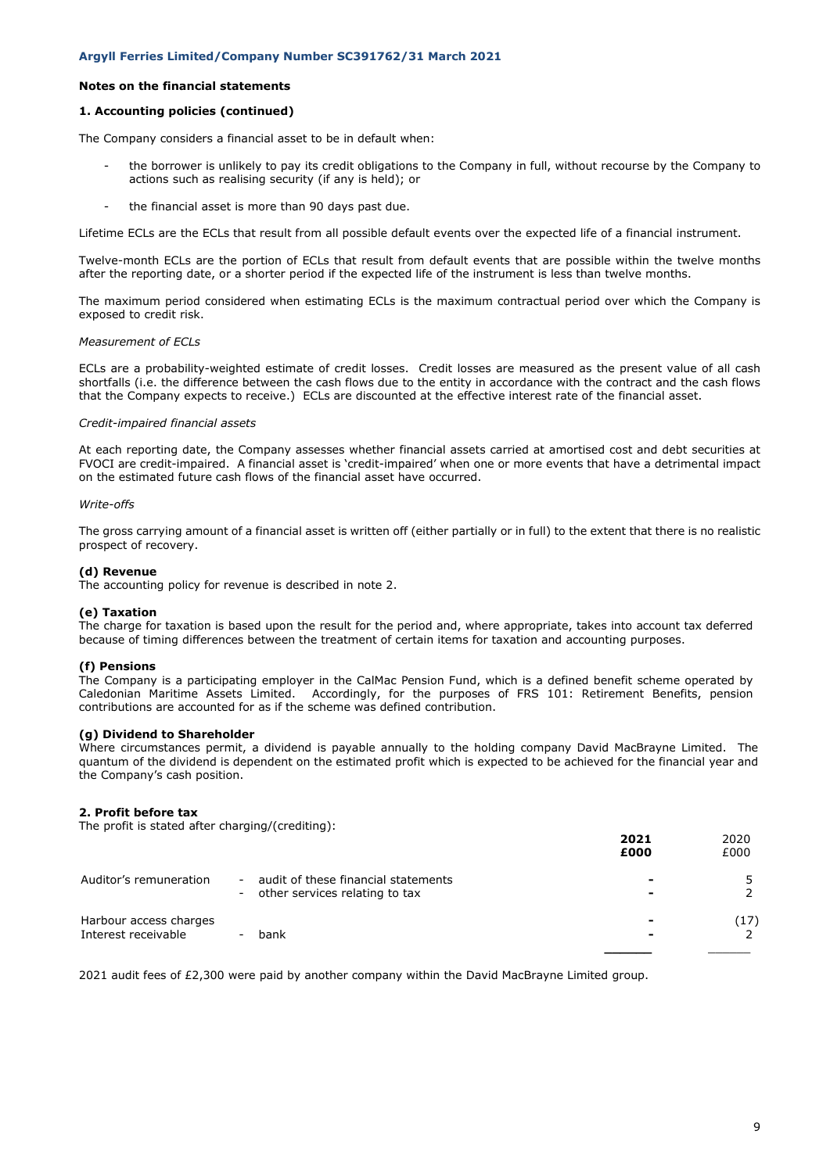### **Notes on the financial statements**

### **1. Accounting policies (continued)**

The Company considers a financial asset to be in default when:

- the borrower is unlikely to pay its credit obligations to the Company in full, without recourse by the Company to actions such as realising security (if any is held); or
- the financial asset is more than 90 days past due.

Lifetime ECLs are the ECLs that result from all possible default events over the expected life of a financial instrument.

Twelve-month ECLs are the portion of ECLs that result from default events that are possible within the twelve months after the reporting date, or a shorter period if the expected life of the instrument is less than twelve months.

The maximum period considered when estimating ECLs is the maximum contractual period over which the Company is exposed to credit risk.

#### *Measurement of ECLs*

ECLs are a probability-weighted estimate of credit losses. Credit losses are measured as the present value of all cash shortfalls (i.e. the difference between the cash flows due to the entity in accordance with the contract and the cash flows that the Company expects to receive.) ECLs are discounted at the effective interest rate of the financial asset.

#### *Credit-impaired financial assets*

At each reporting date, the Company assesses whether financial assets carried at amortised cost and debt securities at FVOCI are credit-impaired. A financial asset is 'credit-impaired' when one or more events that have a detrimental impact on the estimated future cash flows of the financial asset have occurred.

#### *Write-offs*

The gross carrying amount of a financial asset is written off (either partially or in full) to the extent that there is no realistic prospect of recovery.

#### **(d) Revenue**

The accounting policy for revenue is described in note 2.

#### **(e) Taxation**

The charge for taxation is based upon the result for the period and, where appropriate, takes into account tax deferred because of timing differences between the treatment of certain items for taxation and accounting purposes.

### **(f) Pensions**

The Company is a participating employer in the CalMac Pension Fund, which is a defined benefit scheme operated by Caledonian Maritime Assets Limited. Accordingly, for the purposes of FRS 101: Retirement Benefits, pension contributions are accounted for as if the scheme was defined contribution.

#### **(g) Dividend to Shareholder**

Where circumstances permit, a dividend is payable annually to the holding company David MacBrayne Limited. The quantum of the dividend is dependent on the estimated profit which is expected to be achieved for the financial year and the Company's cash position.

#### **2. Profit before tax**

The profit is stated after charging/(crediting):

|                                               |        |                                                                         | 2021<br>£000 | 2020<br>£000 |
|-----------------------------------------------|--------|-------------------------------------------------------------------------|--------------|--------------|
| Auditor's remuneration                        | $\sim$ | audit of these financial statements<br>- other services relating to tax |              |              |
| Harbour access charges<br>Interest receivable |        | bank                                                                    |              | (17)         |
|                                               |        |                                                                         |              |              |

2021 audit fees of £2,300 were paid by another company within the David MacBrayne Limited group.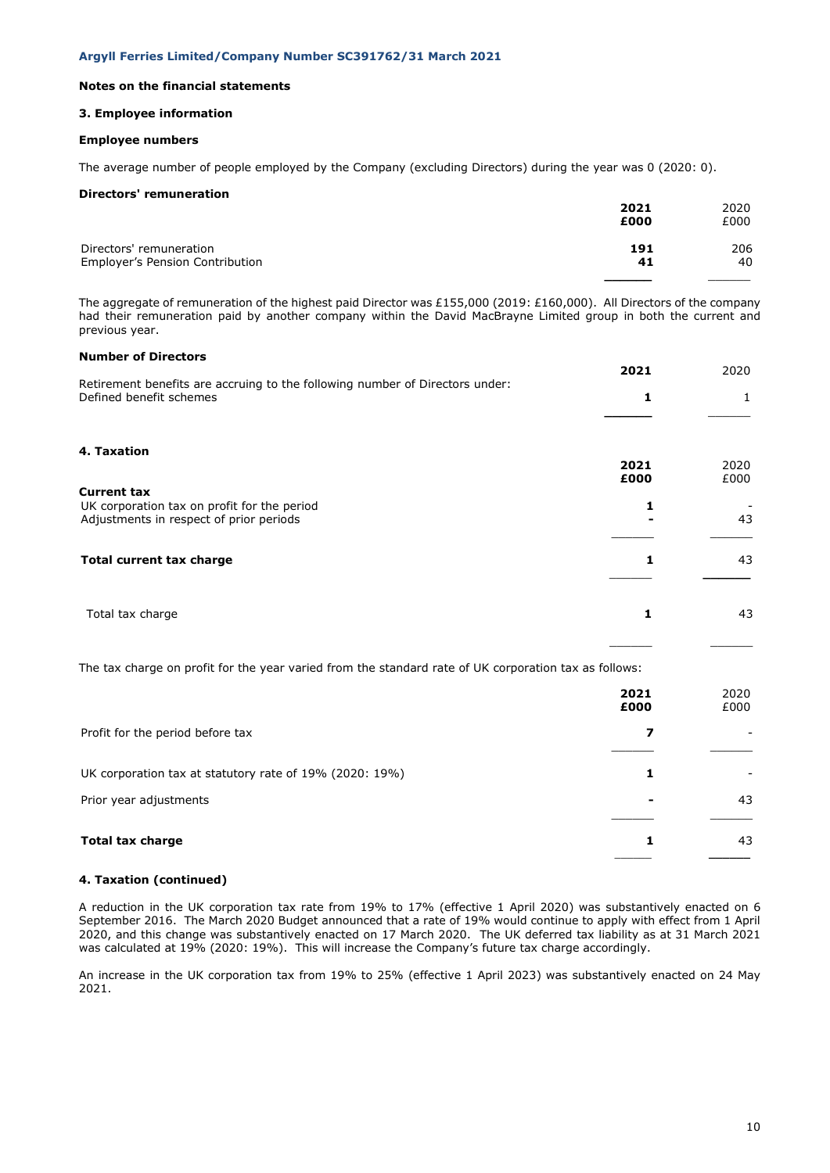### **Notes on the financial statements**

### **3. Employee information**

### **Employee numbers**

The average number of people employed by the Company (excluding Directors) during the year was 0 (2020: 0).

### **Directors' remuneration**

|                                 | 2021 | 2020 |
|---------------------------------|------|------|
|                                 | £000 | £000 |
| Directors' remuneration         | 191  | 206  |
| Employer's Pension Contribution | 41   | 40   |
|                                 |      |      |

The aggregate of remuneration of the highest paid Director was £155,000 (2019: £160,000). All Directors of the company had their remuneration paid by another company within the David MacBrayne Limited group in both the current and previous year.

## **Number of Directors**

|                                                                                                              | 2021 | 2020 |
|--------------------------------------------------------------------------------------------------------------|------|------|
| Retirement benefits are accruing to the following number of Directors under:<br>Defined benefit schemes      | 1    | 1    |
| 4. Taxation                                                                                                  | 2021 | 2020 |
|                                                                                                              | £000 | £000 |
| <b>Current tax</b><br>UK corporation tax on profit for the period<br>Adjustments in respect of prior periods | 1    | 43   |
| Total current tax charge                                                                                     | 1    | 43   |
| Total tax charge                                                                                             | 1    | 43   |
| The tax charge on profit for the year varied from the standard rate of UK corporation tax as follows:        |      |      |
|                                                                                                              | 2021 | 2020 |

|                                                         | 2021<br>£000 | 2020<br>£000 |
|---------------------------------------------------------|--------------|--------------|
| Profit for the period before tax                        |              |              |
| UK corporation tax at statutory rate of 19% (2020: 19%) |              |              |
| Prior year adjustments                                  |              | 43           |
| <b>Total tax charge</b>                                 |              | 43           |

#### **4. Taxation (continued)**

A reduction in the UK corporation tax rate from 19% to 17% (effective 1 April 2020) was substantively enacted on 6 September 2016. The March 2020 Budget announced that a rate of 19% would continue to apply with effect from 1 April 2020, and this change was substantively enacted on 17 March 2020. The UK deferred tax liability as at 31 March 2021 was calculated at 19% (2020: 19%). This will increase the Company's future tax charge accordingly.

An increase in the UK corporation tax from 19% to 25% (effective 1 April 2023) was substantively enacted on 24 May 2021.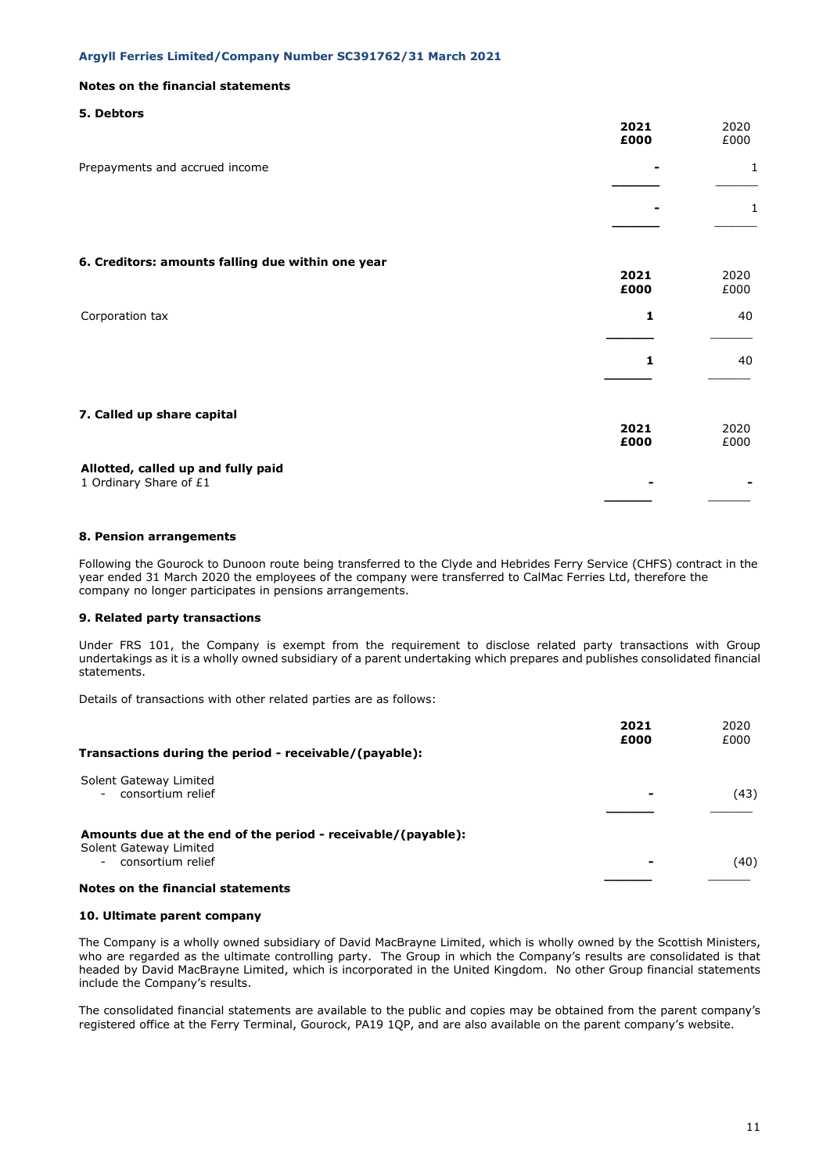### **Notes on the financial statements**

### **5. Debtors**

|                                                              | 2021<br>£000 | 2020<br>£000 |
|--------------------------------------------------------------|--------------|--------------|
| Prepayments and accrued income                               |              | 1            |
|                                                              |              | 1            |
| 6. Creditors: amounts falling due within one year            |              |              |
|                                                              | 2021<br>£000 | 2020<br>£000 |
| Corporation tax                                              | 1            | 40           |
|                                                              | 1            | 40           |
| 7. Called up share capital                                   |              |              |
|                                                              | 2021<br>£000 | 2020<br>£000 |
| Allotted, called up and fully paid<br>1 Ordinary Share of £1 |              |              |

### **8. Pension arrangements**

Following the Gourock to Dunoon route being transferred to the Clyde and Hebrides Ferry Service (CHFS) contract in the year ended 31 March 2020 the employees of the company were transferred to CalMac Ferries Ltd, therefore the company no longer participates in pensions arrangements.

### **9. Related party transactions**

Under FRS 101, the Company is exempt from the requirement to disclose related party transactions with Group undertakings as it is a wholly owned subsidiary of a parent undertaking which prepares and publishes consolidated financial statements.

Details of transactions with other related parties are as follows:

| £000 |
|------|
| (43) |
|      |
| (40) |
| £000 |

### **10. Ultimate parent company**

The Company is a wholly owned subsidiary of David MacBrayne Limited, which is wholly owned by the Scottish Ministers, who are regarded as the ultimate controlling party. The Group in which the Company's results are consolidated is that headed by David MacBrayne Limited, which is incorporated in the United Kingdom. No other Group financial statements include the Company's results.

The consolidated financial statements are available to the public and copies may be obtained from the parent company's registered office at the Ferry Terminal, Gourock, PA19 1QP, and are also available on the parent company's website.